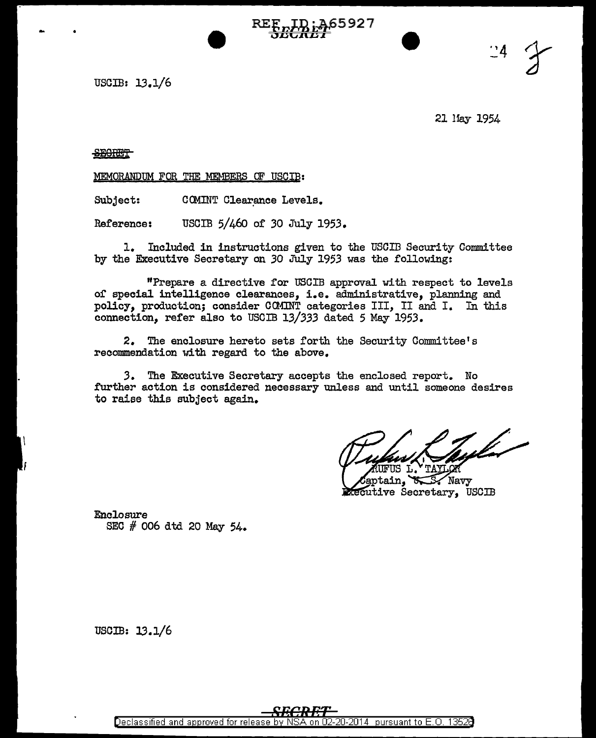USCIB: 13.1/6

21 Hay 1954

 $^{24}$ 

**SECRET** 

MEMORANDUM FOR THE MEMBER§ CF USCIB:

Subject: COMINT Clearance Levels.

Reference: USCIB 5/460 of *30* July 1953.

1. Included in instructions given to the USCIB Security Committee by the Executive Secretary on *30* July 1953 was the following:

65927,

"Prepare a directive for USCIB approval with respect to levels or special intelligence clearances, i.e. administrative, planning and policy, production; consider CCMINT categories III, II and I. In this connection, refer also to USCIB *13/333* dated 5 May 1953.

2. The enclosure hereto sets forth the Security Committee's recommendation with regard to the above.

*3.* The Executive Secretary accepts the enclosed report. No further action is considered necessary unless and until someone desires to raise this subject again.

tulet -**FUS L** 

aptain, Navy tecutive Secretary, USCIB

Enclosure SEC  $#$  006 dtd 20 May 54.

USCIB: JJ.l/6